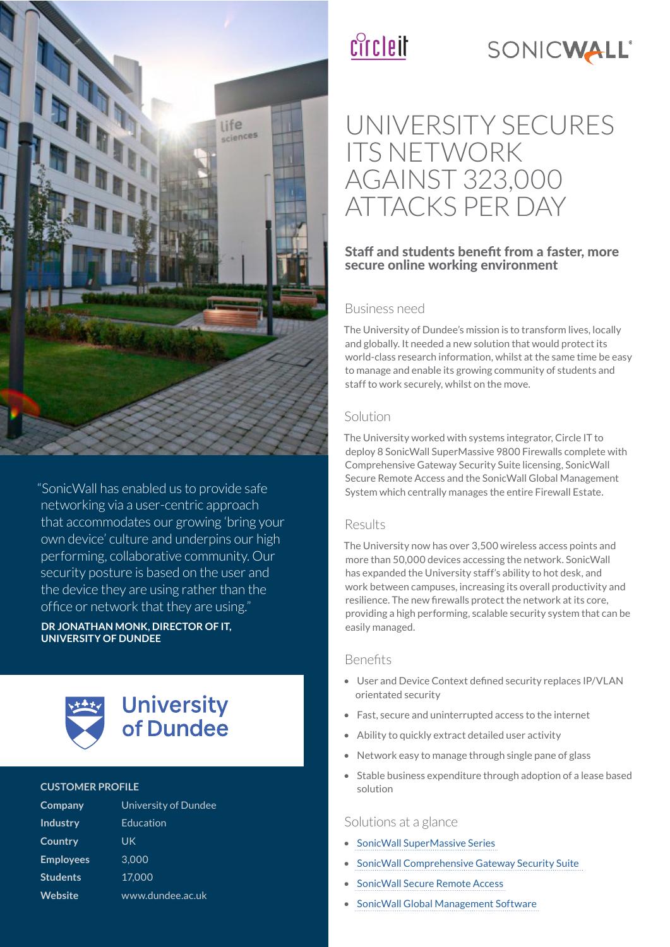

"SonicWall has enabled us to provide safe networking via a user-centric approach that accommodates our growing 'bring your own device' culture and underpins our high performing, collaborative community. Our security posture is based on the user and the device they are using rather than the offce or network that they are using."

**DR JONATHAN MONK, DIRECTOR OF IT UNIVERSITY OF DUNDEE**



#### **CUSTOMER PROFILE**

| Company          | University of Dundee |
|------------------|----------------------|
| <b>Industry</b>  | Education            |
| Country          | UK                   |
| <b>Employees</b> | 3.000                |
| <b>Students</b>  | 17,000               |
| <b>Website</b>   | www.dundee.ac.uk     |

# cîrcleit



## UNIVERSITY SECURES ITS NETWORK AGAINST 323,000 ATTACKS PER DAY

#### Staff and students benefit from a faster, more secure online working environment

#### Business need

The University of Dundee's mission is to transform lives, locally and globally. It needed a new solution that would protect its world-class research information, whilst at the same time be easy to manage and enable its growing community of students and staff to work securely, whilst on the move.

#### Solution

The University worked with systems integrator, Circle IT to deploy 8 SonicWall SuperMassive 9800 Firewalls complete with Comprehensive Gateway Security Suite licensing, SonicWall Secure Remote Access and the SonicWall Global Management System which centrally manages the entire Firewall Estate.

#### Results

The University now has over 3,500 wireless access points and more than 50,000 devices accessing the network. SonicWall has expanded the University staff's ability to hot desk, and work between campuses, increasing its overall productivity and resilience. The new frewalls protect the network at its core, providing a high performing, scalable security system that can be easily managed.

#### **Benefits**

- User and Device Context defned security replaces IP/VLAN orientated security
- Fast, secure and uninterrupted access to the internet
- Ability to quickly extract detailed user activity
- Network easy to manage through single pane of glass
- Stable business expenditure through adoption of a lease based solution

#### Solutions at a glance

- SonicWall SuperMassive Series
- SonicWall Comprehensive Gateway Security Suite
- SonicWall Secure Remote Access
- SonicWall Global Management Software